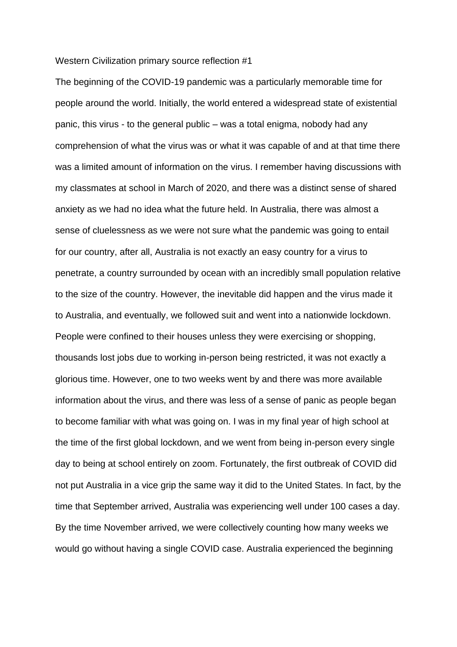## Western Civilization primary source reflection #1

The beginning of the COVID-19 pandemic was a particularly memorable time for people around the world. Initially, the world entered a widespread state of existential panic, this virus - to the general public – was a total enigma, nobody had any comprehension of what the virus was or what it was capable of and at that time there was a limited amount of information on the virus. I remember having discussions with my classmates at school in March of 2020, and there was a distinct sense of shared anxiety as we had no idea what the future held. In Australia, there was almost a sense of cluelessness as we were not sure what the pandemic was going to entail for our country, after all, Australia is not exactly an easy country for a virus to penetrate, a country surrounded by ocean with an incredibly small population relative to the size of the country. However, the inevitable did happen and the virus made it to Australia, and eventually, we followed suit and went into a nationwide lockdown. People were confined to their houses unless they were exercising or shopping, thousands lost jobs due to working in-person being restricted, it was not exactly a glorious time. However, one to two weeks went by and there was more available information about the virus, and there was less of a sense of panic as people began to become familiar with what was going on. I was in my final year of high school at the time of the first global lockdown, and we went from being in-person every single day to being at school entirely on zoom. Fortunately, the first outbreak of COVID did not put Australia in a vice grip the same way it did to the United States. In fact, by the time that September arrived, Australia was experiencing well under 100 cases a day. By the time November arrived, we were collectively counting how many weeks we would go without having a single COVID case. Australia experienced the beginning